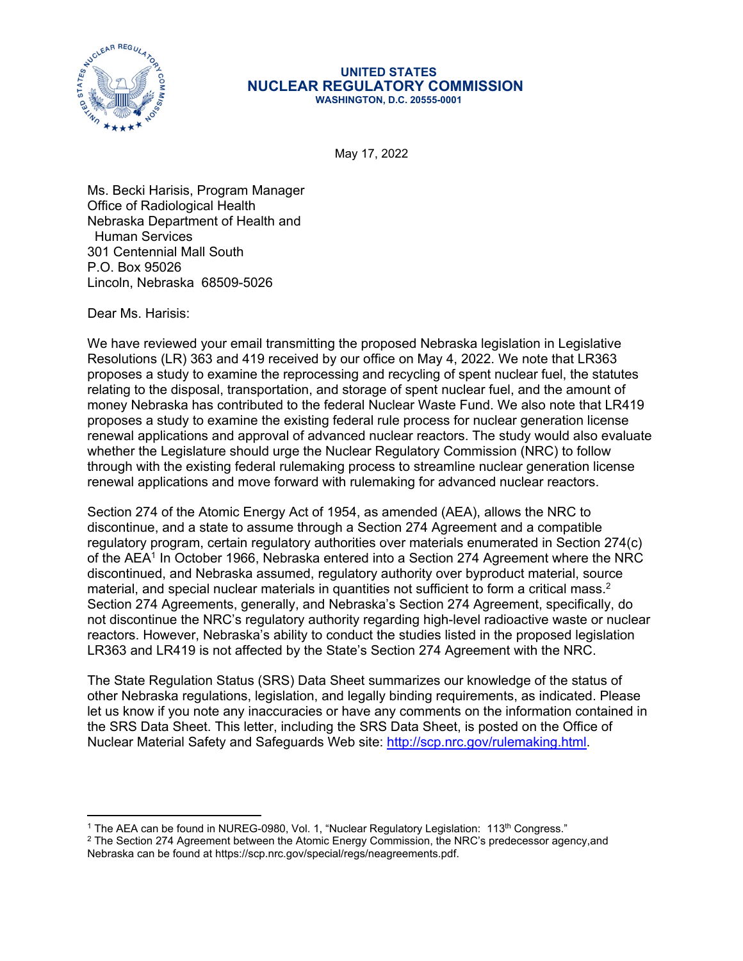

## **UNITED STATES NUCLEAR REGULATORY COMMISSION WASHINGTON, D.C. 20555-0001**

May 17, 2022

Ms. Becki Harisis, Program Manager Office of Radiological Health Nebraska Department of Health and Human Services 301 Centennial Mall South P.O. Box 95026 Lincoln, Nebraska 68509-5026

Dear Ms. Harisis:

We have reviewed your email transmitting the proposed Nebraska legislation in Legislative Resolutions (LR) 363 and 419 received by our office on May 4, 2022. We note that LR363 proposes a study to examine the reprocessing and recycling of spent nuclear fuel, the statutes relating to the disposal, transportation, and storage of spent nuclear fuel, and the amount of money Nebraska has contributed to the federal Nuclear Waste Fund. We also note that LR419 proposes a study to examine the existing federal rule process for nuclear generation license renewal applications and approval of advanced nuclear reactors. The study would also evaluate whether the Legislature should urge the Nuclear Regulatory Commission (NRC) to follow through with the existing federal rulemaking process to streamline nuclear generation license renewal applications and move forward with rulemaking for advanced nuclear reactors.

Section 274 of the Atomic Energy Act of 1954, as amended (AEA), allows the NRC to discontinue, and a state to assume through a Section 274 Agreement and a compatible regulatory program, certain regulatory authorities over materials enumerated in Section 274(c) of the AEA1 In October 1966, Nebraska entered into a Section 274 Agreement where the NRC discontinued, and Nebraska assumed, regulatory authority over byproduct material, source material, and special nuclear materials in quantities not sufficient to form a critical mass.<sup>2</sup> Section 274 Agreements, generally, and Nebraska's Section 274 Agreement, specifically, do not discontinue the NRC's regulatory authority regarding high-level radioactive waste or nuclear reactors. However, Nebraska's ability to conduct the studies listed in the proposed legislation LR363 and LR419 is not affected by the State's Section 274 Agreement with the NRC.

The State Regulation Status (SRS) Data Sheet summarizes our knowledge of the status of other Nebraska regulations, legislation, and legally binding requirements, as indicated. Please let us know if you note any inaccuracies or have any comments on the information contained in the SRS Data Sheet. This letter, including the SRS Data Sheet, is posted on the Office of Nuclear Material Safety and Safeguards Web site:<http://scp.nrc.gov/rulemaking.html>.

 $^{\rm 1}$  The AEA can be found in NUREG-0980, Vol. 1, "Nuclear Regulatory Legislation:  $\,$  113th Congress."

 $^2$  The Section 274 Agreement between the Atomic Energy Commission, the NRC's predecessor agency,and Nebraska can be found at https://scp.nrc.gov/special/regs/neagreements.pdf.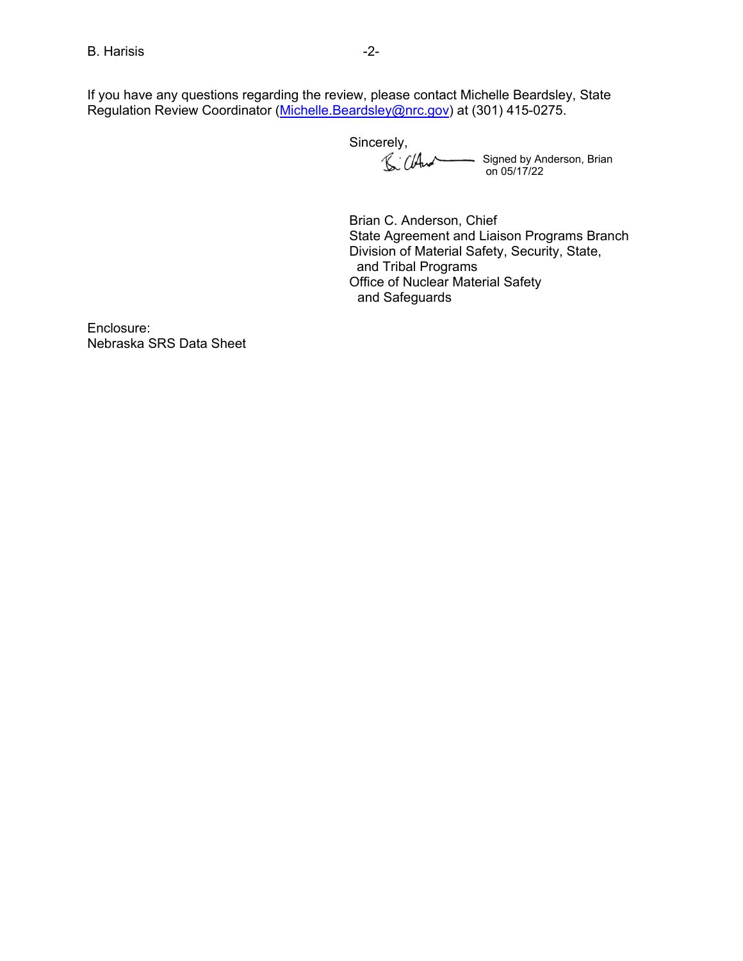If you have any questions regarding the review, please contact Michelle Beardsley, State Regulation Review Coordinator (Michelle.Beardsley@nrc.gov) at (301) 415-0275.

Sincerely,

Signed by Anderson, Brian on 05/17/22

Brian C. Anderson, Chief State Agreement and Liaison Programs Branch Division of Material Safety, Security, State, and Tribal Programs Office of Nuclear Material Safety and Safeguards

Enclosure: Nebraska SRS Data Sheet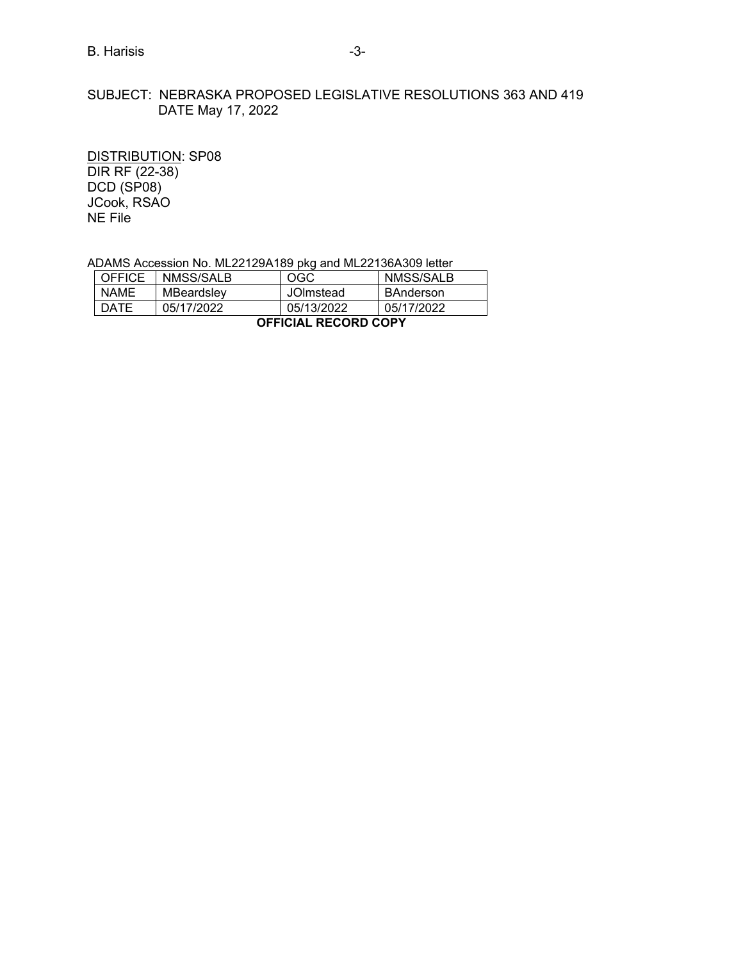## SUBJECT: NEBRASKA PROPOSED LEGISLATIVE RESOLUTIONS 363 AND 419 DATE May 17, 2022

DISTRIBUTION: SP08 DIR RF (22-38) DCD (SP08) JCook, RSAO NE File

ADAMS Accession No. ML22129A189 pkg and ML22136A309 letter

| <b>OFFICE</b>               | NMSS/SALB  | OGC        | NMSS/SALB        |  |  |  |
|-----------------------------|------------|------------|------------------|--|--|--|
| <b>NAME</b>                 | MBeardsley | JOImstead  | <b>BAnderson</b> |  |  |  |
| <b>DATE</b>                 | 05/17/2022 | 05/13/2022 | 05/17/2022       |  |  |  |
| <b>OFFICIAL RECORD COPY</b> |            |            |                  |  |  |  |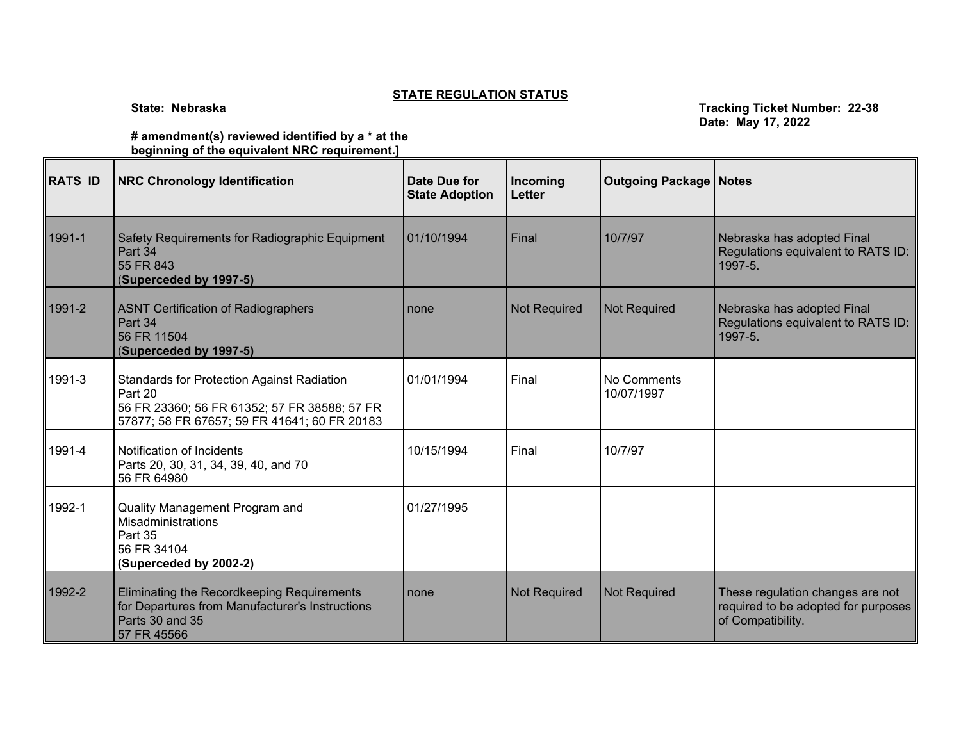## **STATE REGULATION STATUS**

**State: Nebraska Tracking Ticket Number: 22-38 Date: May 17, 2022**

**# amendment(s) reviewed identified by a \* at the beginning of the equivalent NRC requirement.]** 

| <b>RATS ID</b> | <b>NRC Chronology Identification</b>                                                                                                                         | Date Due for<br><b>State Adoption</b> | Incoming<br><b>Letter</b> | <b>Outgoing Package   Notes</b> |                                                                                              |
|----------------|--------------------------------------------------------------------------------------------------------------------------------------------------------------|---------------------------------------|---------------------------|---------------------------------|----------------------------------------------------------------------------------------------|
| 1991-1         | Safety Requirements for Radiographic Equipment<br>Part 34<br>55 FR 843<br>(Superceded by 1997-5)                                                             | 01/10/1994                            | Final                     | 10/7/97                         | Nebraska has adopted Final<br>Regulations equivalent to RATS ID:<br>1997-5.                  |
| 1991-2         | <b>ASNT Certification of Radiographers</b><br>Part 34<br>56 FR 11504<br>(Superceded by 1997-5)                                                               | none                                  | <b>Not Required</b>       | <b>Not Required</b>             | Nebraska has adopted Final<br>Regulations equivalent to RATS ID:<br>1997-5.                  |
| 1991-3         | <b>Standards for Protection Against Radiation</b><br>Part 20<br>56 FR 23360; 56 FR 61352; 57 FR 38588; 57 FR<br>57877; 58 FR 67657; 59 FR 41641; 60 FR 20183 | 01/01/1994                            | Final                     | No Comments<br>10/07/1997       |                                                                                              |
| 1991-4         | Notification of Incidents<br>Parts 20, 30, 31, 34, 39, 40, and 70<br>56 FR 64980                                                                             | 10/15/1994                            | Final                     | 10/7/97                         |                                                                                              |
| 1992-1         | Quality Management Program and<br>Misadministrations<br>Part 35<br>56 FR 34104<br>(Superceded by 2002-2)                                                     | 01/27/1995                            |                           |                                 |                                                                                              |
| 1992-2         | Eliminating the Recordkeeping Requirements<br>for Departures from Manufacturer's Instructions<br>Parts 30 and 35<br>57 FR 45566                              | none                                  | <b>Not Required</b>       | <b>Not Required</b>             | These regulation changes are not<br>required to be adopted for purposes<br>of Compatibility. |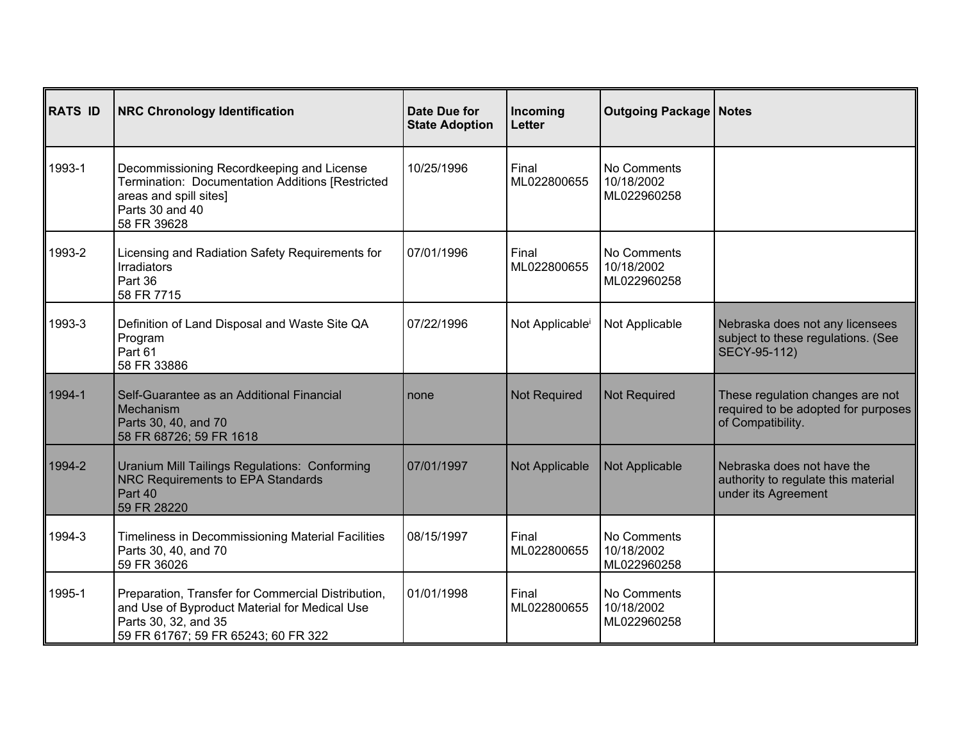| <b>RATS ID</b> | <b>NRC Chronology Identification</b>                                                                                                                               | <b>Date Due for</b><br><b>State Adoption</b> | Incoming<br>Letter          | <b>Outgoing Package   Notes</b>          |                                                                                              |
|----------------|--------------------------------------------------------------------------------------------------------------------------------------------------------------------|----------------------------------------------|-----------------------------|------------------------------------------|----------------------------------------------------------------------------------------------|
| 1993-1         | Decommissioning Recordkeeping and License<br>Termination: Documentation Additions [Restricted<br>areas and spill sites]<br>Parts 30 and 40<br>58 FR 39628          | 10/25/1996                                   | Final<br>ML022800655        | No Comments<br>10/18/2002<br>ML022960258 |                                                                                              |
| 1993-2         | Licensing and Radiation Safety Requirements for<br><b>Irradiators</b><br>Part 36<br>58 FR 7715                                                                     | 07/01/1996                                   | Final<br>ML022800655        | No Comments<br>10/18/2002<br>ML022960258 |                                                                                              |
| 1993-3         | Definition of Land Disposal and Waste Site QA<br>Program<br>Part 61<br>58 FR 33886                                                                                 | 07/22/1996                                   | Not Applicable <sup>i</sup> | Not Applicable                           | Nebraska does not any licensees<br>subject to these regulations. (See<br>SECY-95-112)        |
| 1994-1         | Self-Guarantee as an Additional Financial<br>Mechanism<br>Parts 30, 40, and 70<br>58 FR 68726; 59 FR 1618                                                          | none                                         | <b>Not Required</b>         | <b>Not Required</b>                      | These regulation changes are not<br>required to be adopted for purposes<br>of Compatibility. |
| 1994-2         | <b>Uranium Mill Tailings Regulations: Conforming</b><br>NRC Requirements to EPA Standards<br>Part 40<br>59 FR 28220                                                | 07/01/1997                                   | Not Applicable              | Not Applicable                           | Nebraska does not have the<br>authority to regulate this material<br>under its Agreement     |
| 1994-3         | Timeliness in Decommissioning Material Facilities<br>Parts 30, 40, and 70<br>59 FR 36026                                                                           | 08/15/1997                                   | Final<br>ML022800655        | No Comments<br>10/18/2002<br>ML022960258 |                                                                                              |
| 1995-1         | Preparation, Transfer for Commercial Distribution,<br>and Use of Byproduct Material for Medical Use<br>Parts 30, 32, and 35<br>59 FR 61767; 59 FR 65243; 60 FR 322 | 01/01/1998                                   | Final<br>ML022800655        | No Comments<br>10/18/2002<br>ML022960258 |                                                                                              |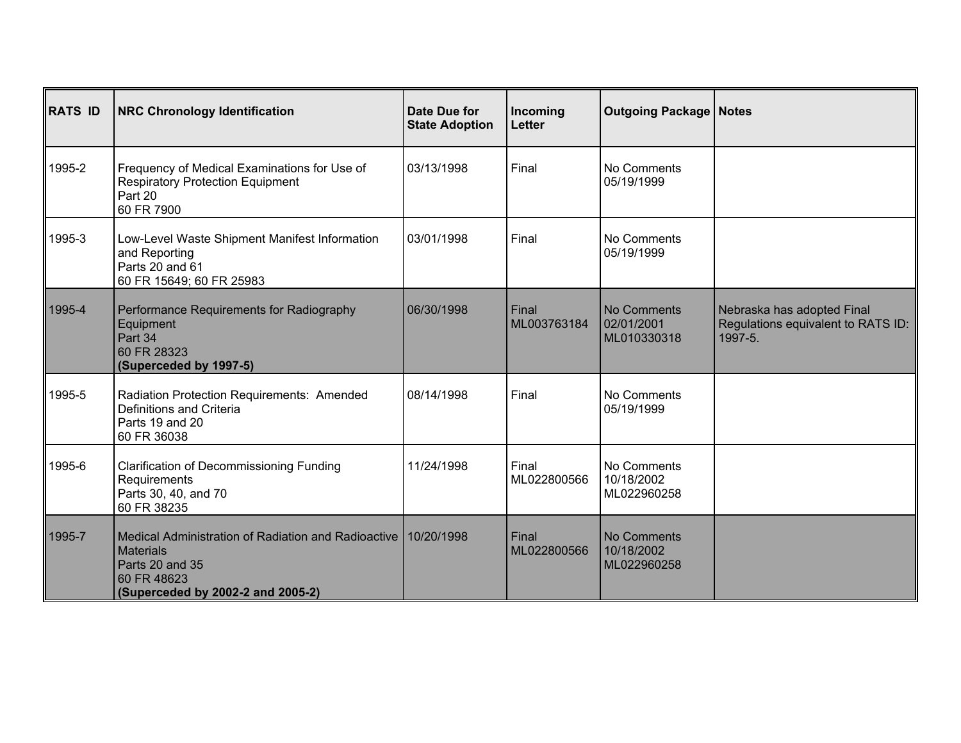| <b>RATS ID</b> | <b>NRC Chronology Identification</b>                                                                                                               | Date Due for<br><b>State Adoption</b> | Incoming<br><b>Letter</b> | <b>Outgoing Package   Notes</b>                 |                                                                             |
|----------------|----------------------------------------------------------------------------------------------------------------------------------------------------|---------------------------------------|---------------------------|-------------------------------------------------|-----------------------------------------------------------------------------|
| 1995-2         | Frequency of Medical Examinations for Use of<br><b>Respiratory Protection Equipment</b><br>Part 20<br>60 FR 7900                                   | 03/13/1998                            | Final                     | No Comments<br>05/19/1999                       |                                                                             |
| 1995-3         | Low-Level Waste Shipment Manifest Information<br>and Reporting<br>Parts 20 and 61<br>60 FR 15649; 60 FR 25983                                      | 03/01/1998                            | Final                     | No Comments<br>05/19/1999                       |                                                                             |
| 1995-4         | Performance Requirements for Radiography<br>Equipment<br>Part 34<br>60 FR 28323<br>(Superceded by 1997-5)                                          | 06/30/1998                            | Final<br>ML003763184      | <b>No Comments</b><br>02/01/2001<br>ML010330318 | Nebraska has adopted Final<br>Regulations equivalent to RATS ID:<br>1997-5. |
| 1995-5         | Radiation Protection Requirements: Amended<br>Definitions and Criteria<br>Parts 19 and 20<br>60 FR 36038                                           | 08/14/1998                            | Final                     | No Comments<br>05/19/1999                       |                                                                             |
| 1995-6         | <b>Clarification of Decommissioning Funding</b><br>Requirements<br>Parts 30, 40, and 70<br>60 FR 38235                                             | 11/24/1998                            | Final<br>ML022800566      | No Comments<br>10/18/2002<br>ML022960258        |                                                                             |
| 1995-7         | l Medical Administration of Radiation and Radioactive I<br><b>Materials</b><br>Parts 20 and 35<br>60 FR 48623<br>(Superceded by 2002-2 and 2005-2) | 10/20/1998                            | Final<br>ML022800566      | <b>No Comments</b><br>10/18/2002<br>ML022960258 |                                                                             |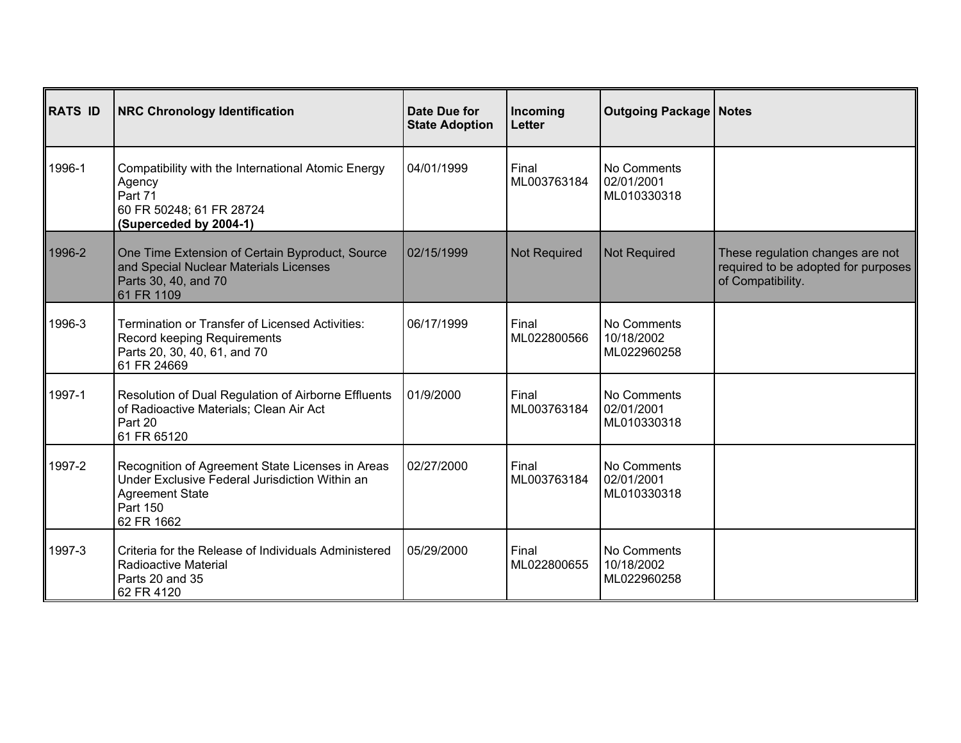| <b>RATS ID</b> | <b>NRC Chronology Identification</b>                                                                                                                   | Date Due for<br><b>State Adoption</b> | Incoming<br><b>Letter</b> | <b>Outgoing Package   Notes</b>          |                                                                                              |
|----------------|--------------------------------------------------------------------------------------------------------------------------------------------------------|---------------------------------------|---------------------------|------------------------------------------|----------------------------------------------------------------------------------------------|
| 1996-1         | Compatibility with the International Atomic Energy<br>Agency<br>Part 71<br>60 FR 50248; 61 FR 28724<br>(Superceded by 2004-1)                          | 04/01/1999                            | Final<br>ML003763184      | No Comments<br>02/01/2001<br>ML010330318 |                                                                                              |
| 1996-2         | One Time Extension of Certain Byproduct, Source<br>and Special Nuclear Materials Licenses<br>Parts 30, 40, and 70<br>61 FR 1109                        | 02/15/1999                            | Not Required              | <b>Not Required</b>                      | These regulation changes are not<br>required to be adopted for purposes<br>of Compatibility. |
| 1996-3         | <b>Termination or Transfer of Licensed Activities:</b><br>Record keeping Requirements<br>Parts 20, 30, 40, 61, and 70<br>61 FR 24669                   | 06/17/1999                            | Final<br>ML022800566      | No Comments<br>10/18/2002<br>ML022960258 |                                                                                              |
| 1997-1         | Resolution of Dual Regulation of Airborne Effluents<br>of Radioactive Materials; Clean Air Act<br>Part 20<br>61 FR 65120                               | 01/9/2000                             | Final<br>ML003763184      | No Comments<br>02/01/2001<br>ML010330318 |                                                                                              |
| 1997-2         | Recognition of Agreement State Licenses in Areas<br>Under Exclusive Federal Jurisdiction Within an<br><b>Agreement State</b><br>Part 150<br>62 FR 1662 | 02/27/2000                            | Final<br>ML003763184      | No Comments<br>02/01/2001<br>ML010330318 |                                                                                              |
| 1997-3         | Criteria for the Release of Individuals Administered<br>Radioactive Material<br>Parts 20 and 35<br>62 FR 4120                                          | 05/29/2000                            | Final<br>ML022800655      | No Comments<br>10/18/2002<br>ML022960258 |                                                                                              |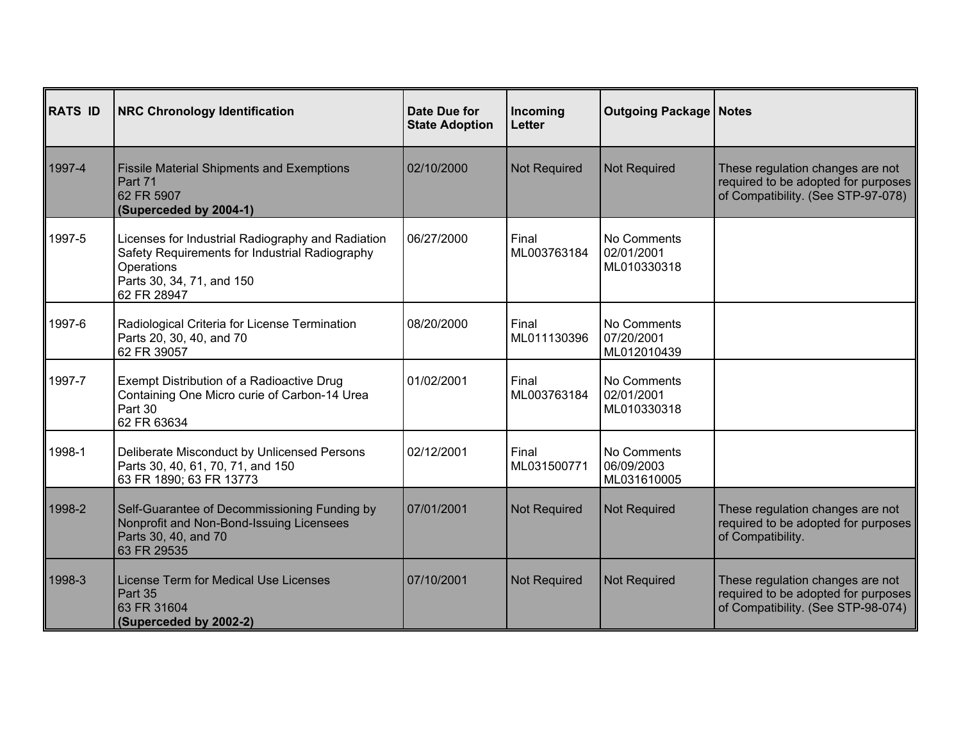| <b>RATS ID</b> | <b>NRC Chronology Identification</b>                                                                                                                          | Date Due for<br><b>State Adoption</b> | Incoming<br><b>Letter</b> | <b>Outgoing Package   Notes</b>          |                                                                                                               |
|----------------|---------------------------------------------------------------------------------------------------------------------------------------------------------------|---------------------------------------|---------------------------|------------------------------------------|---------------------------------------------------------------------------------------------------------------|
| 1997-4         | <b>Fissile Material Shipments and Exemptions</b><br>Part 71<br>62 FR 5907<br>(Superceded by 2004-1)                                                           | 02/10/2000                            | <b>Not Required</b>       | Not Required                             | These regulation changes are not<br>required to be adopted for purposes<br>of Compatibility. (See STP-97-078) |
| 1997-5         | Licenses for Industrial Radiography and Radiation<br>Safety Requirements for Industrial Radiography<br>Operations<br>Parts 30, 34, 71, and 150<br>62 FR 28947 | 06/27/2000                            | Final<br>ML003763184      | No Comments<br>02/01/2001<br>ML010330318 |                                                                                                               |
| 1997-6         | Radiological Criteria for License Termination<br>Parts 20, 30, 40, and 70<br>62 FR 39057                                                                      | 08/20/2000                            | Final<br>ML011130396      | No Comments<br>07/20/2001<br>ML012010439 |                                                                                                               |
| 1997-7         | Exempt Distribution of a Radioactive Drug<br>Containing One Micro curie of Carbon-14 Urea<br>Part 30<br>62 FR 63634                                           | 01/02/2001                            | Final<br>ML003763184      | No Comments<br>02/01/2001<br>ML010330318 |                                                                                                               |
| 1998-1         | Deliberate Misconduct by Unlicensed Persons<br>Parts 30, 40, 61, 70, 71, and 150<br>63 FR 1890; 63 FR 13773                                                   | 02/12/2001                            | Final<br>ML031500771      | No Comments<br>06/09/2003<br>ML031610005 |                                                                                                               |
| 1998-2         | Self-Guarantee of Decommissioning Funding by<br>Nonprofit and Non-Bond-Issuing Licensees<br>Parts 30, 40, and 70<br>63 FR 29535                               | 07/01/2001                            | Not Required              | <b>Not Required</b>                      | These regulation changes are not<br>required to be adopted for purposes<br>of Compatibility.                  |
| 1998-3         | License Term for Medical Use Licenses<br>Part 35<br>63 FR 31604<br>(Superceded by 2002-2)                                                                     | 07/10/2001                            | <b>Not Required</b>       | <b>Not Required</b>                      | These regulation changes are not<br>required to be adopted for purposes<br>of Compatibility. (See STP-98-074) |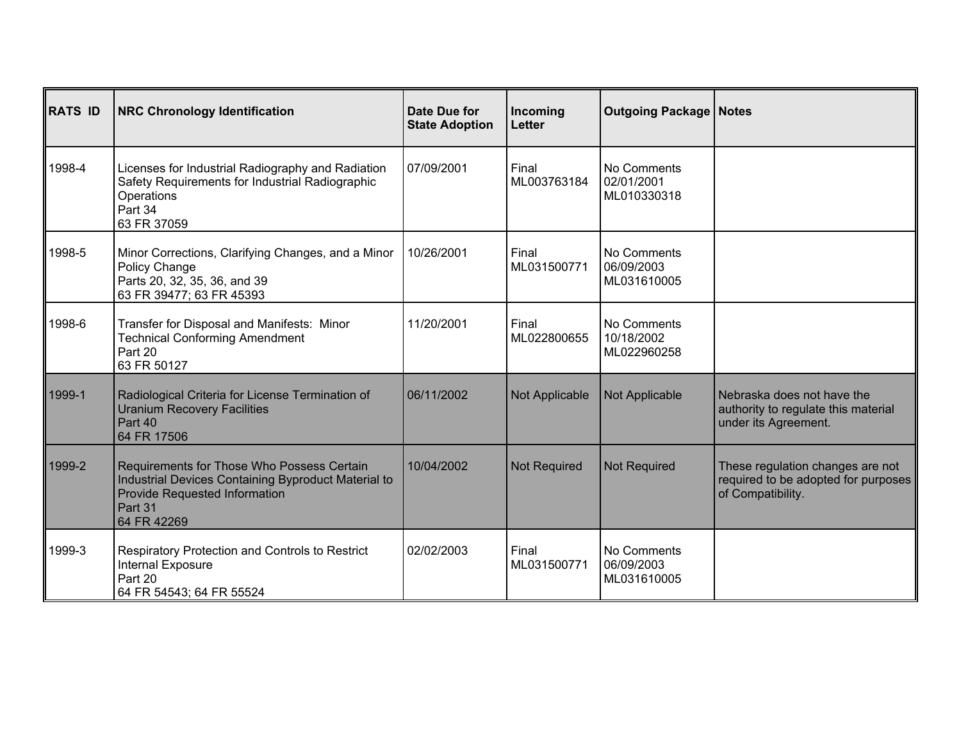| <b>RATS ID</b> | <b>NRC Chronology Identification</b>                                                                                                                                | Date Due for<br><b>State Adoption</b> | Incoming<br><b>Letter</b> | <b>Outgoing Package   Notes</b>          |                                                                                              |
|----------------|---------------------------------------------------------------------------------------------------------------------------------------------------------------------|---------------------------------------|---------------------------|------------------------------------------|----------------------------------------------------------------------------------------------|
| 1998-4         | Licenses for Industrial Radiography and Radiation<br>Safety Requirements for Industrial Radiographic<br>Operations<br>Part 34<br>63 FR 37059                        | 07/09/2001                            | Final<br>ML003763184      | No Comments<br>02/01/2001<br>ML010330318 |                                                                                              |
| 1998-5         | Minor Corrections, Clarifying Changes, and a Minor<br>Policy Change<br>Parts 20, 32, 35, 36, and 39<br>63 FR 39477; 63 FR 45393                                     | 10/26/2001                            | Final<br>ML031500771      | No Comments<br>06/09/2003<br>ML031610005 |                                                                                              |
| 1998-6         | Transfer for Disposal and Manifests: Minor<br><b>Technical Conforming Amendment</b><br>Part 20<br>63 FR 50127                                                       | 11/20/2001                            | Final<br>ML022800655      | No Comments<br>10/18/2002<br>ML022960258 |                                                                                              |
| 1999-1         | Radiological Criteria for License Termination of<br><b>Uranium Recovery Facilities</b><br>Part 40<br>64 FR 17506                                                    | 06/11/2002                            | Not Applicable            | Not Applicable                           | Nebraska does not have the<br>authority to regulate this material<br>under its Agreement.    |
| 1999-2         | Requirements for Those Who Possess Certain<br>Industrial Devices Containing Byproduct Material to<br><b>Provide Requested Information</b><br>Part 31<br>64 FR 42269 | 10/04/2002                            | <b>Not Required</b>       | <b>Not Required</b>                      | These regulation changes are not<br>required to be adopted for purposes<br>of Compatibility. |
| 1999-3         | Respiratory Protection and Controls to Restrict<br>Internal Exposure<br>Part 20<br>64 FR 54543; 64 FR 55524                                                         | 02/02/2003                            | Final<br>ML031500771      | No Comments<br>06/09/2003<br>ML031610005 |                                                                                              |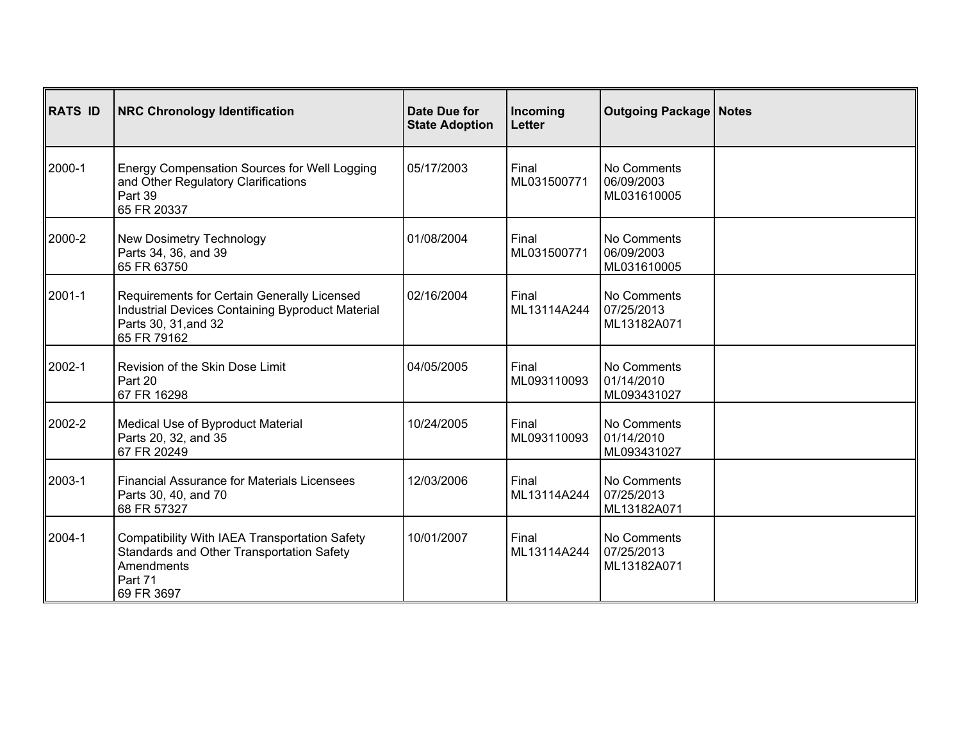| <b>RATS ID</b> | <b>NRC Chronology Identification</b>                                                                                                   | Date Due for<br><b>State Adoption</b> | Incoming<br><b>Letter</b> | <b>Outgoing Package   Notes</b>          |  |
|----------------|----------------------------------------------------------------------------------------------------------------------------------------|---------------------------------------|---------------------------|------------------------------------------|--|
| 2000-1         | Energy Compensation Sources for Well Logging<br>and Other Regulatory Clarifications<br>Part 39<br>65 FR 20337                          | 05/17/2003                            | Final<br>ML031500771      | No Comments<br>06/09/2003<br>ML031610005 |  |
| 2000-2         | New Dosimetry Technology<br>Parts 34, 36, and 39<br>65 FR 63750                                                                        | 01/08/2004                            | Final<br>ML031500771      | No Comments<br>06/09/2003<br>ML031610005 |  |
| 2001-1         | Requirements for Certain Generally Licensed<br>Industrial Devices Containing Byproduct Material<br>Parts 30, 31, and 32<br>65 FR 79162 | 02/16/2004                            | Final<br>ML13114A244      | No Comments<br>07/25/2013<br>ML13182A071 |  |
| 2002-1         | Revision of the Skin Dose Limit<br>Part 20<br>67 FR 16298                                                                              | 04/05/2005                            | Final<br>ML093110093      | No Comments<br>01/14/2010<br>ML093431027 |  |
| 2002-2         | Medical Use of Byproduct Material<br>Parts 20, 32, and 35<br>67 FR 20249                                                               | 10/24/2005                            | Final<br>ML093110093      | No Comments<br>01/14/2010<br>ML093431027 |  |
| 2003-1         | <b>Financial Assurance for Materials Licensees</b><br>Parts 30, 40, and 70<br>68 FR 57327                                              | 12/03/2006                            | Final<br>ML13114A244      | No Comments<br>07/25/2013<br>ML13182A071 |  |
| 2004-1         | Compatibility With IAEA Transportation Safety<br>Standards and Other Transportation Safety<br>Amendments<br>Part 71<br>69 FR 3697      | 10/01/2007                            | Final<br>ML13114A244      | No Comments<br>07/25/2013<br>ML13182A071 |  |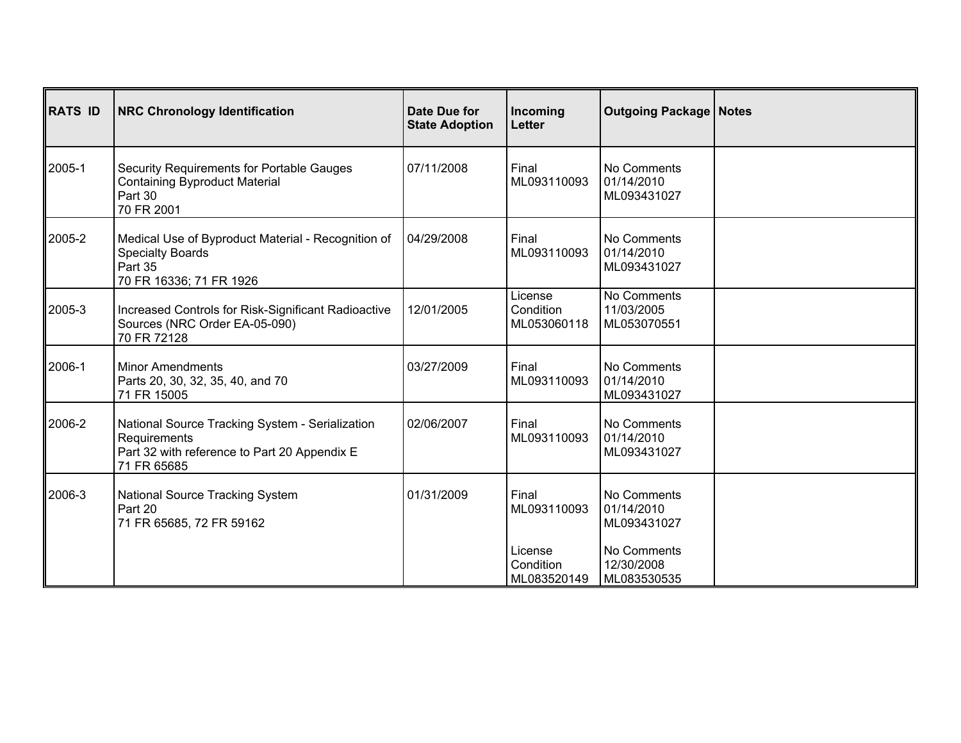| <b>RATS ID</b> | <b>NRC Chronology Identification</b>                                                                                           | Date Due for<br><b>State Adoption</b> | Incoming<br><b>Letter</b>           | <b>Outgoing Package   Notes</b>          |  |
|----------------|--------------------------------------------------------------------------------------------------------------------------------|---------------------------------------|-------------------------------------|------------------------------------------|--|
| 2005-1         | Security Requirements for Portable Gauges<br><b>Containing Byproduct Material</b><br>Part 30<br>70 FR 2001                     | 07/11/2008                            | Final<br>ML093110093                | No Comments<br>01/14/2010<br>ML093431027 |  |
| 2005-2         | Medical Use of Byproduct Material - Recognition of<br><b>Specialty Boards</b><br>Part 35<br>70 FR 16336; 71 FR 1926            | 04/29/2008                            | Final<br>ML093110093                | No Comments<br>01/14/2010<br>ML093431027 |  |
| 2005-3         | Increased Controls for Risk-Significant Radioactive<br>Sources (NRC Order EA-05-090)<br>70 FR 72128                            | 12/01/2005                            | License<br>Condition<br>ML053060118 | No Comments<br>11/03/2005<br>ML053070551 |  |
| 2006-1         | <b>Minor Amendments</b><br>Parts 20, 30, 32, 35, 40, and 70<br>71 FR 15005                                                     | 03/27/2009                            | Final<br>ML093110093                | No Comments<br>01/14/2010<br>ML093431027 |  |
| 2006-2         | National Source Tracking System - Serialization<br>Requirements<br>Part 32 with reference to Part 20 Appendix E<br>71 FR 65685 | 02/06/2007                            | Final<br>ML093110093                | No Comments<br>01/14/2010<br>ML093431027 |  |
| 2006-3         | National Source Tracking System<br>Part 20<br>71 FR 65685, 72 FR 59162                                                         | 01/31/2009                            | Final<br>ML093110093                | No Comments<br>01/14/2010<br>ML093431027 |  |
|                |                                                                                                                                |                                       | License<br>Condition<br>ML083520149 | No Comments<br>12/30/2008<br>ML083530535 |  |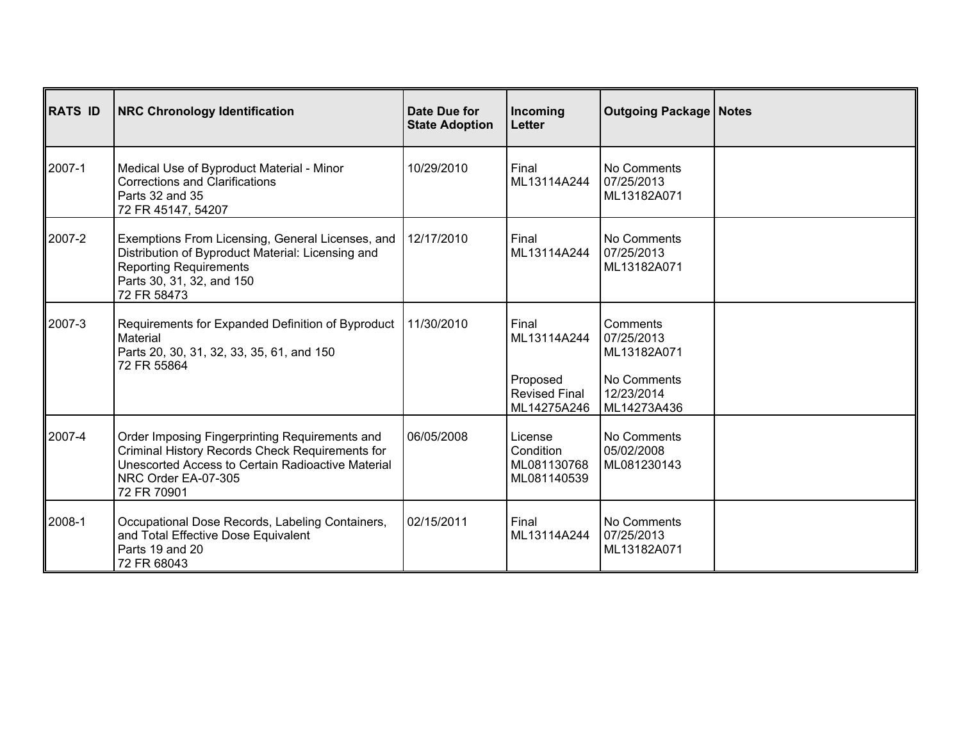| <b>RATS ID</b> | <b>NRC Chronology Identification</b>                                                                                                                                                         | Date Due for<br><b>State Adoption</b> | Incoming<br><b>Letter</b>                                               | <b>Outgoing Package   Notes</b>                                                   |  |
|----------------|----------------------------------------------------------------------------------------------------------------------------------------------------------------------------------------------|---------------------------------------|-------------------------------------------------------------------------|-----------------------------------------------------------------------------------|--|
| 2007-1         | Medical Use of Byproduct Material - Minor<br><b>Corrections and Clarifications</b><br>Parts 32 and 35<br>72 FR 45147, 54207                                                                  | 10/29/2010                            | Final<br>ML13114A244                                                    | No Comments<br>07/25/2013<br>ML13182A071                                          |  |
| 2007-2         | Exemptions From Licensing, General Licenses, and<br>Distribution of Byproduct Material: Licensing and<br><b>Reporting Requirements</b><br>Parts 30, 31, 32, and 150<br>72 FR 58473           | 12/17/2010                            | Final<br>ML13114A244                                                    | No Comments<br>07/25/2013<br>ML13182A071                                          |  |
| 2007-3         | Requirements for Expanded Definition of Byproduct<br>Material<br>Parts 20, 30, 31, 32, 33, 35, 61, and 150<br>72 FR 55864                                                                    | 11/30/2010                            | Final<br>ML13114A244<br>Proposed<br><b>Revised Final</b><br>ML14275A246 | Comments<br>07/25/2013<br>ML13182A071<br>No Comments<br>12/23/2014<br>ML14273A436 |  |
| 2007-4         | Order Imposing Fingerprinting Requirements and<br>Criminal History Records Check Requirements for<br>Unescorted Access to Certain Radioactive Material<br>NRC Order EA-07-305<br>72 FR 70901 | 06/05/2008                            | License<br>Condition<br>ML081130768<br>ML081140539                      | No Comments<br>05/02/2008<br>ML081230143                                          |  |
| 2008-1         | Occupational Dose Records, Labeling Containers,<br>and Total Effective Dose Equivalent<br>Parts 19 and 20<br>72 FR 68043                                                                     | 02/15/2011                            | Final<br>ML13114A244                                                    | No Comments<br>07/25/2013<br>ML13182A071                                          |  |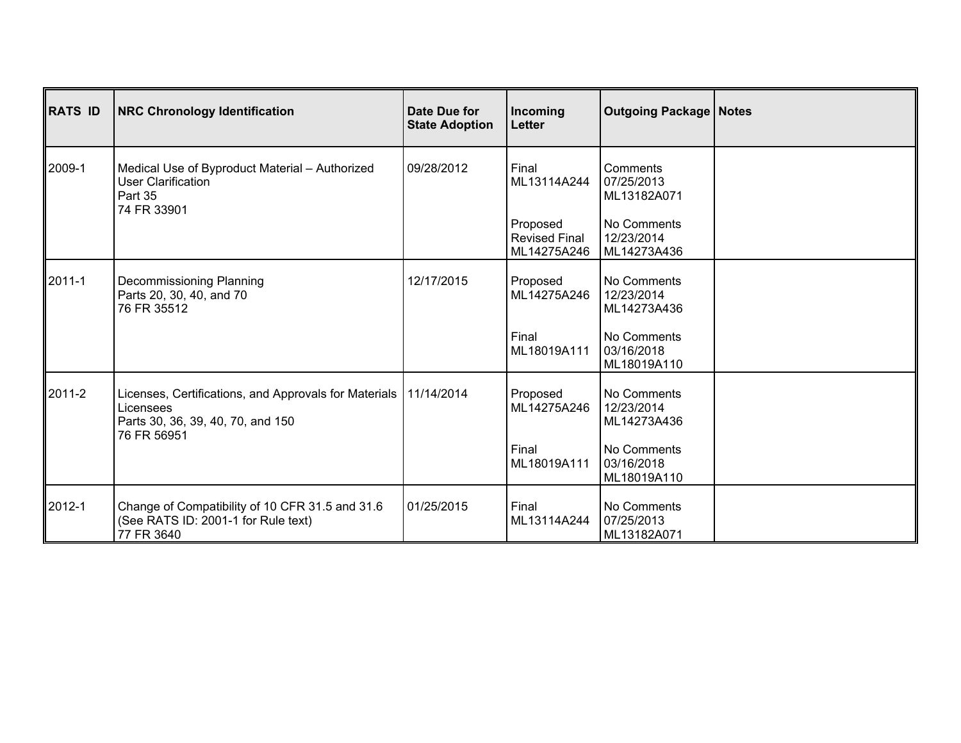| RATS ID | <b>NRC Chronology Identification</b>                                                                                                | Date Due for<br><b>State Adoption</b> | Incoming<br><b>Letter</b>                                               | <b>Outgoing Package   Notes</b>                                                   |  |
|---------|-------------------------------------------------------------------------------------------------------------------------------------|---------------------------------------|-------------------------------------------------------------------------|-----------------------------------------------------------------------------------|--|
| ∥2009-1 | Medical Use of Byproduct Material - Authorized<br><b>User Clarification</b><br>Part 35<br>74 FR 33901                               | 09/28/2012                            | Final<br>ML13114A244<br>Proposed<br><b>Revised Final</b><br>ML14275A246 | Comments<br>07/25/2013<br>ML13182A071<br>No Comments<br>12/23/2014<br>ML14273A436 |  |
| 2011-1  | Decommissioning Planning<br>Parts 20, 30, 40, and 70<br>76 FR 35512                                                                 | 12/17/2015                            | Proposed<br>ML14275A246                                                 | No Comments<br>12/23/2014<br>ML14273A436                                          |  |
|         |                                                                                                                                     |                                       | Final<br>ML18019A111                                                    | No Comments<br>03/16/2018<br>ML18019A110                                          |  |
| ∥2011-2 | Licenses, Certifications, and Approvals for Materials   11/14/2014<br>Licensees<br>Parts 30, 36, 39, 40, 70, and 150<br>76 FR 56951 |                                       | Proposed<br>ML14275A246                                                 | No Comments<br>12/23/2014<br>ML14273A436                                          |  |
|         |                                                                                                                                     |                                       | Final<br>ML18019A111                                                    | No Comments<br>03/16/2018<br>ML18019A110                                          |  |
| 2012-1  | Change of Compatibility of 10 CFR 31.5 and 31.6<br>(See RATS ID: 2001-1 for Rule text)<br>77 FR 3640                                | 01/25/2015                            | Final<br>ML13114A244                                                    | No Comments<br>07/25/2013<br>ML13182A071                                          |  |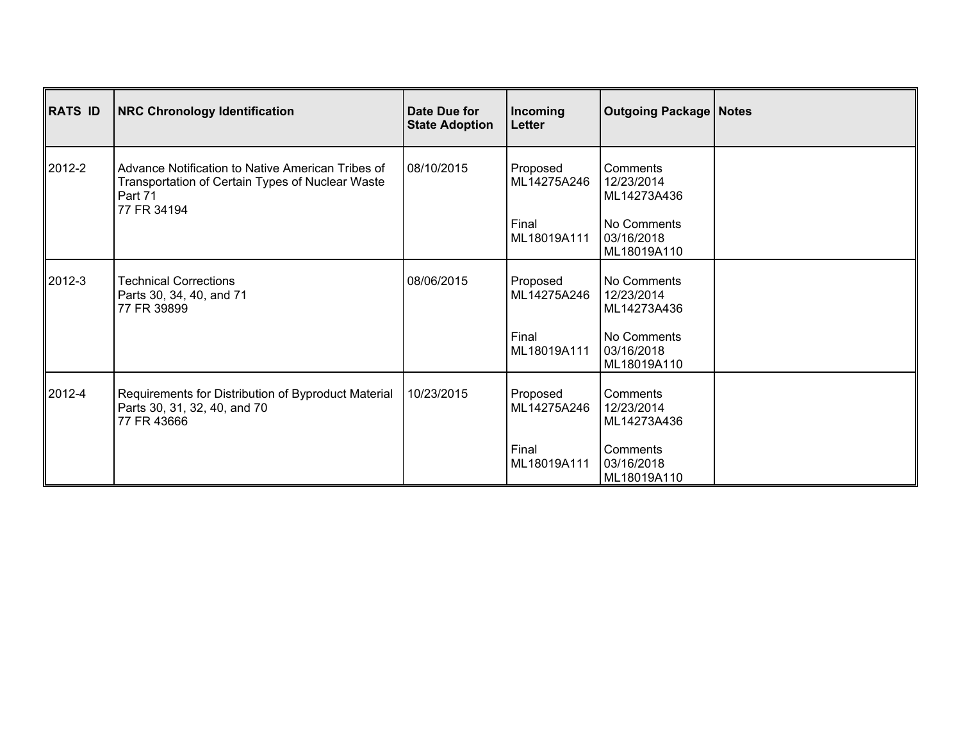| RATS ID | <b>NRC Chronology Identification</b>                                                                                            | Date Due for<br><b>State Adoption</b> | Incoming<br>Letter               | <b>Outgoing Package   Notes</b>                      |  |
|---------|---------------------------------------------------------------------------------------------------------------------------------|---------------------------------------|----------------------------------|------------------------------------------------------|--|
| ∥2012-2 | Advance Notification to Native American Tribes of<br>Transportation of Certain Types of Nuclear Waste<br>Part 71<br>77 FR 34194 | 08/10/2015                            | Proposed<br>ML14275A246<br>Final | Comments<br>12/23/2014<br>ML14273A436<br>No Comments |  |
|         |                                                                                                                                 |                                       | ML18019A111                      | 03/16/2018<br>ML18019A110                            |  |
| ∥2012-3 | <b>Technical Corrections</b><br>Parts 30, 34, 40, and 71<br>77 FR 39899                                                         | 08/06/2015                            | Proposed<br>ML14275A246          | No Comments<br>12/23/2014<br>ML14273A436             |  |
|         |                                                                                                                                 |                                       | Final<br>ML18019A111             | No Comments<br>03/16/2018<br>ML18019A110             |  |
| ∥2012-4 | Requirements for Distribution of Byproduct Material<br>Parts 30, 31, 32, 40, and 70<br>77 FR 43666                              | 10/23/2015                            | Proposed<br>ML14275A246          | Comments<br>12/23/2014<br>ML14273A436                |  |
|         |                                                                                                                                 |                                       | Final<br>ML18019A111             | Comments<br>03/16/2018<br>ML18019A110                |  |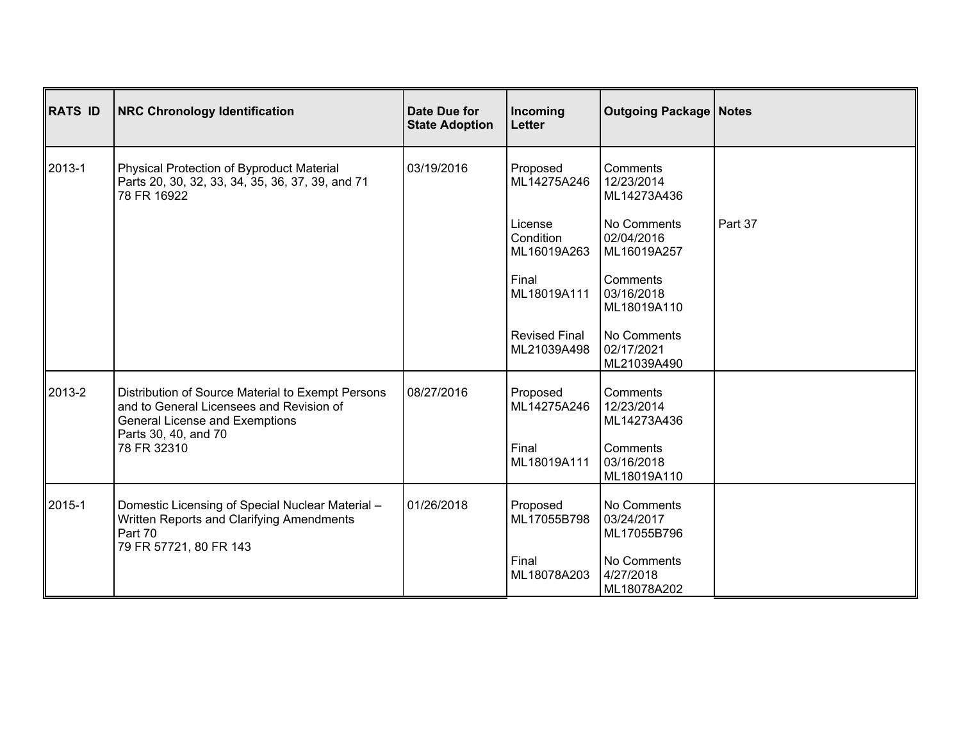| <b>RATS ID</b> | <b>NRC Chronology Identification</b>                                                                                                                                          | Date Due for<br><b>State Adoption</b> | Incoming<br>Letter                  | <b>Outgoing Package   Notes</b>          |         |
|----------------|-------------------------------------------------------------------------------------------------------------------------------------------------------------------------------|---------------------------------------|-------------------------------------|------------------------------------------|---------|
| 2013-1         | Physical Protection of Byproduct Material<br>Parts 20, 30, 32, 33, 34, 35, 36, 37, 39, and 71<br>78 FR 16922                                                                  | 03/19/2016                            | Proposed<br>ML14275A246             | Comments<br>12/23/2014<br>ML14273A436    |         |
|                |                                                                                                                                                                               |                                       | License<br>Condition<br>ML16019A263 | No Comments<br>02/04/2016<br>ML16019A257 | Part 37 |
|                |                                                                                                                                                                               |                                       | Final<br>ML18019A111                | Comments<br>03/16/2018<br>ML18019A110    |         |
|                |                                                                                                                                                                               |                                       | <b>Revised Final</b><br>ML21039A498 | No Comments<br>02/17/2021<br>ML21039A490 |         |
| 2013-2         | Distribution of Source Material to Exempt Persons<br>and to General Licensees and Revision of<br><b>General License and Exemptions</b><br>Parts 30, 40, and 70<br>78 FR 32310 | 08/27/2016                            | Proposed<br>ML14275A246             | Comments<br>12/23/2014<br>ML14273A436    |         |
|                |                                                                                                                                                                               |                                       | Final<br>ML18019A111                | Comments<br>03/16/2018<br>ML18019A110    |         |
| 2015-1         | Domestic Licensing of Special Nuclear Material -<br>Written Reports and Clarifying Amendments<br>Part 70<br>79 FR 57721, 80 FR 143                                            | 01/26/2018                            | Proposed<br>ML17055B798             | No Comments<br>03/24/2017<br>ML17055B796 |         |
|                |                                                                                                                                                                               |                                       | Final<br>ML18078A203                | No Comments<br>4/27/2018<br>ML18078A202  |         |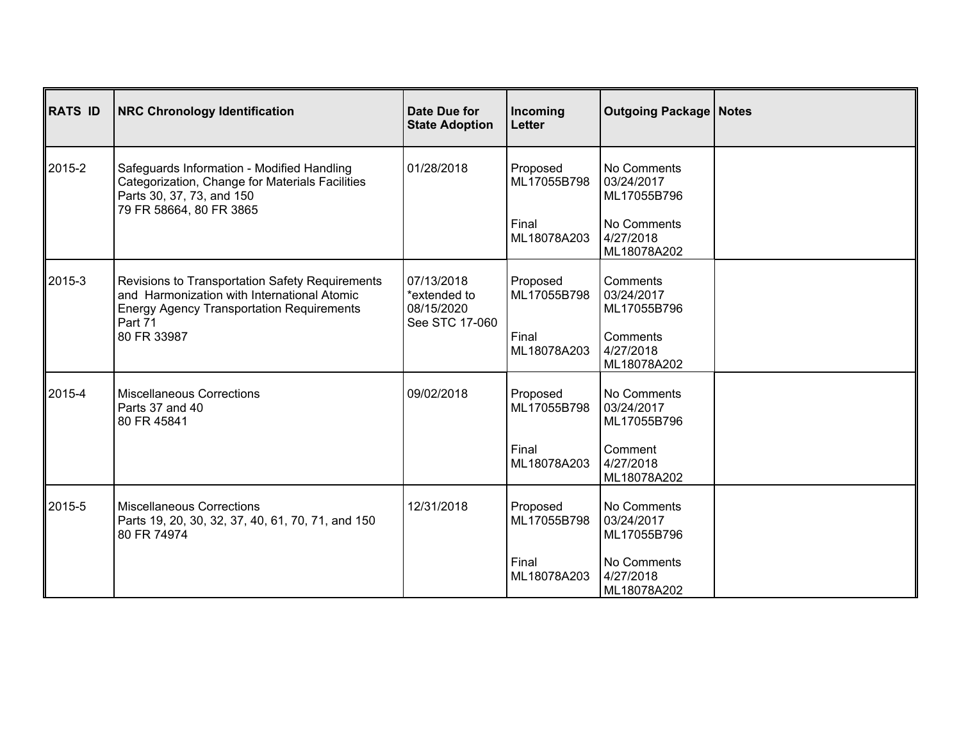| RATS ID | <b>NRC Chronology Identification</b>                                                                                                                                         | Date Due for<br><b>State Adoption</b>                      | Incoming<br><b>Letter</b> | <b>Outgoing Package   Notes</b>          |  |
|---------|------------------------------------------------------------------------------------------------------------------------------------------------------------------------------|------------------------------------------------------------|---------------------------|------------------------------------------|--|
| 2015-2  | Safeguards Information - Modified Handling<br>Categorization, Change for Materials Facilities<br>Parts 30, 37, 73, and 150<br>79 FR 58664, 80 FR 3865                        | 01/28/2018                                                 | Proposed<br>ML17055B798   | No Comments<br>03/24/2017<br>ML17055B796 |  |
|         |                                                                                                                                                                              |                                                            | Final<br>ML18078A203      | No Comments<br>4/27/2018<br>ML18078A202  |  |
| ∥2015-3 | Revisions to Transportation Safety Requirements<br>and Harmonization with International Atomic<br><b>Energy Agency Transportation Requirements</b><br>Part 71<br>80 FR 33987 | 07/13/2018<br>*extended to<br>08/15/2020<br>See STC 17-060 | Proposed<br>ML17055B798   | Comments<br>03/24/2017<br>ML17055B796    |  |
|         |                                                                                                                                                                              |                                                            | Final<br>ML18078A203      | Comments<br>4/27/2018<br>ML18078A202     |  |
| 2015-4  | <b>Miscellaneous Corrections</b><br>Parts 37 and 40<br>80 FR 45841                                                                                                           | 09/02/2018                                                 | Proposed<br>ML17055B798   | No Comments<br>03/24/2017<br>ML17055B796 |  |
|         |                                                                                                                                                                              |                                                            | Final<br>ML18078A203      | Comment<br>4/27/2018<br>ML18078A202      |  |
| 2015-5  | <b>Miscellaneous Corrections</b><br>Parts 19, 20, 30, 32, 37, 40, 61, 70, 71, and 150<br>80 FR 74974                                                                         | 12/31/2018                                                 | Proposed<br>ML17055B798   | No Comments<br>03/24/2017<br>ML17055B796 |  |
|         |                                                                                                                                                                              |                                                            | Final<br>ML18078A203      | No Comments<br>4/27/2018<br>ML18078A202  |  |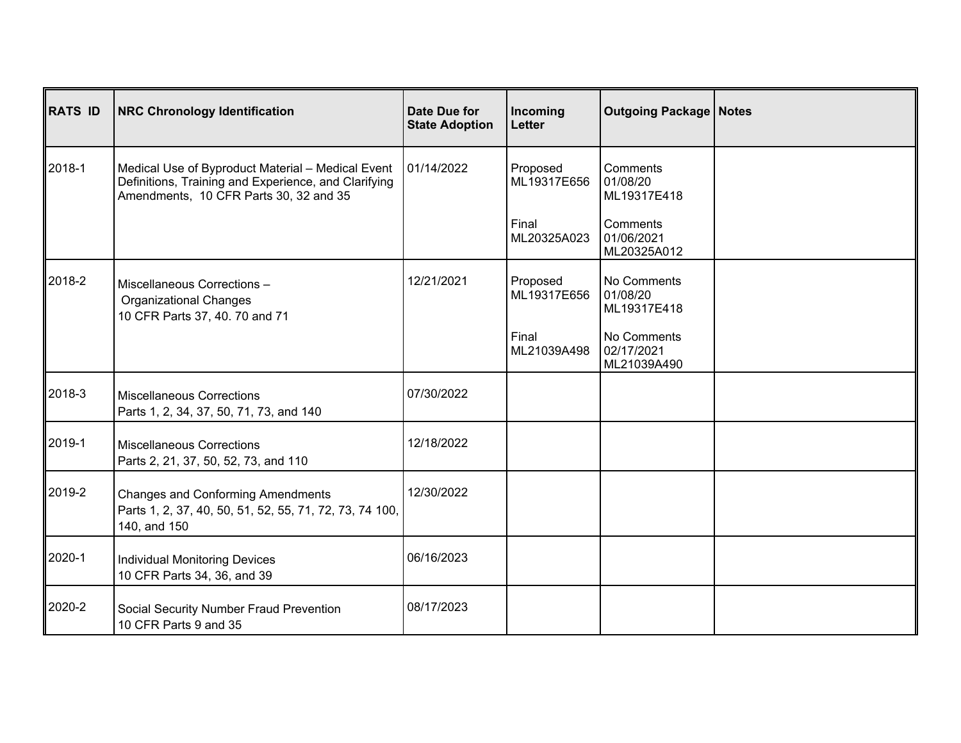| RATS ID | <b>NRC Chronology Identification</b>                                                                                                                | Date Due for<br><b>State Adoption</b> | Incoming<br>Letter      | <b>Outgoing Package   Notes</b>          |  |
|---------|-----------------------------------------------------------------------------------------------------------------------------------------------------|---------------------------------------|-------------------------|------------------------------------------|--|
| ∥2018-1 | Medical Use of Byproduct Material - Medical Event<br>Definitions, Training and Experience, and Clarifying<br>Amendments, 10 CFR Parts 30, 32 and 35 | 01/14/2022                            | Proposed<br>ML19317E656 | Comments<br>01/08/20<br>ML19317E418      |  |
|         |                                                                                                                                                     |                                       | Final<br>ML20325A023    | Comments<br>01/06/2021<br>ML20325A012    |  |
| ∥2018-2 | Miscellaneous Corrections -<br><b>Organizational Changes</b><br>10 CFR Parts 37, 40. 70 and 71                                                      | 12/21/2021                            | Proposed<br>ML19317E656 | No Comments<br>01/08/20<br>ML19317E418   |  |
|         |                                                                                                                                                     |                                       | Final<br>ML21039A498    | No Comments<br>02/17/2021<br>ML21039A490 |  |
| 2018-3  | <b>Miscellaneous Corrections</b><br>Parts 1, 2, 34, 37, 50, 71, 73, and 140                                                                         | 07/30/2022                            |                         |                                          |  |
| ∥2019-1 | <b>Miscellaneous Corrections</b><br>Parts 2, 21, 37, 50, 52, 73, and 110                                                                            | 12/18/2022                            |                         |                                          |  |
| ∥2019-2 | <b>Changes and Conforming Amendments</b><br>Parts 1, 2, 37, 40, 50, 51, 52, 55, 71, 72, 73, 74 100,<br>140, and 150                                 | 12/30/2022                            |                         |                                          |  |
| 2020-1  | Individual Monitoring Devices<br>10 CFR Parts 34, 36, and 39                                                                                        | 06/16/2023                            |                         |                                          |  |
| 2020-2  | Social Security Number Fraud Prevention<br>10 CFR Parts 9 and 35                                                                                    | 08/17/2023                            |                         |                                          |  |